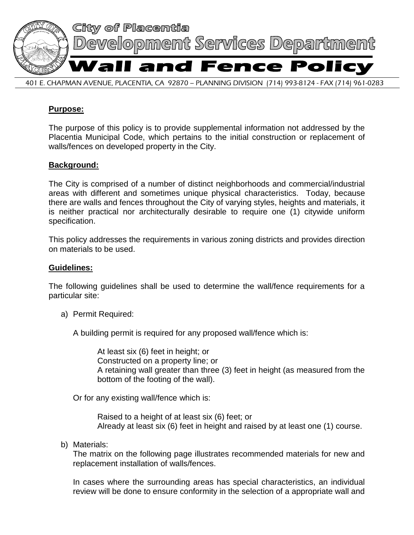

## **Purpose:**

The purpose of this policy is to provide supplemental information not addressed by the Placentia Municipal Code, which pertains to the initial construction or replacement of walls/fences on developed property in the City.

## **Background:**

The City is comprised of a number of distinct neighborhoods and commercial/industrial areas with different and sometimes unique physical characteristics. Today, because there are walls and fences throughout the City of varying styles, heights and materials, it is neither practical nor architecturally desirable to require one (1) citywide uniform specification.

This policy addresses the requirements in various zoning districts and provides direction on materials to be used.

## **Guidelines:**

The following guidelines shall be used to determine the wall/fence requirements for a particular site:

a) Permit Required:

A building permit is required for any proposed wall/fence which is:

At least six (6) feet in height; or Constructed on a property line; or A retaining wall greater than three (3) feet in height (as measured from the bottom of the footing of the wall).

Or for any existing wall/fence which is:

Raised to a height of at least six (6) feet; or Already at least six (6) feet in height and raised by at least one (1) course.

b) Materials:

The matrix on the following page illustrates recommended materials for new and replacement installation of walls/fences.

In cases where the surrounding areas has special characteristics, an individual review will be done to ensure conformity in the selection of a appropriate wall and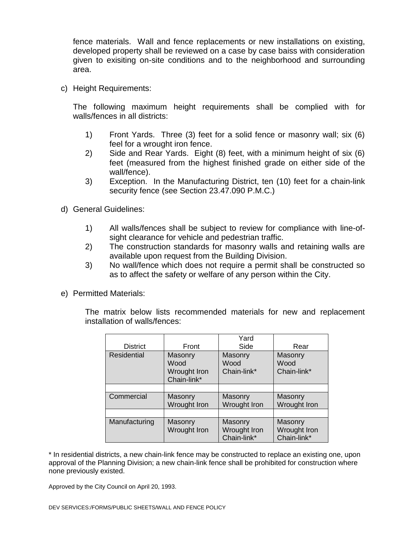fence materials. Wall and fence replacements or new installations on existing, developed property shall be reviewed on a case by case baiss with consideration given to exisiting on-site conditions and to the neighborhood and surrounding area.

c) Height Requirements:

The following maximum height requirements shall be complied with for walls/fences in all districts:

- 1) Front Yards. Three (3) feet for a solid fence or masonry wall; six (6) feel for a wrought iron fence.
- 2) Side and Rear Yards. Eight (8) feet, with a minimum height of six (6) feet (measured from the highest finished grade on either side of the wall/fence).
- 3) Exception. In the Manufacturing District, ten (10) feet for a chain-link security fence (see Section 23.47.090 P.M.C.)
- d) General Guidelines:
	- 1) All walls/fences shall be subject to review for compliance with line-ofsight clearance for vehicle and pedestrian traffic.
	- 2) The construction standards for masonry walls and retaining walls are available upon request from the Building Division.
	- 3) No wall/fence which does not require a permit shall be constructed so as to affect the safety or welfare of any person within the City.
- e) Permitted Materials:

The matrix below lists recommended materials for new and replacement installation of walls/fences:

|                 |              | Yard         |              |
|-----------------|--------------|--------------|--------------|
| <b>District</b> | Front        | Side         | Rear         |
| Residential     | Masonry      | Masonry      | Masonry      |
|                 | Wood         | Wood         | Wood         |
|                 | Wrought Iron | Chain-link*  | Chain-link*  |
|                 | Chain-link*  |              |              |
|                 |              |              |              |
| Commercial      | Masonry      | Masonry      | Masonry      |
|                 | Wrought Iron | Wrought Iron | Wrought Iron |
|                 |              |              |              |
| Manufacturing   | Masonry      | Masonry      | Masonry      |
|                 | Wrought Iron | Wrought Iron | Wrought Iron |
|                 |              | Chain-link*  | Chain-link*  |

\* In residential districts, a new chain-link fence may be constructed to replace an existing one, upon approval of the Planning Division; a new chain-link fence shall be prohibited for construction where none previously existed.

Approved by the City Council on April 20, 1993.